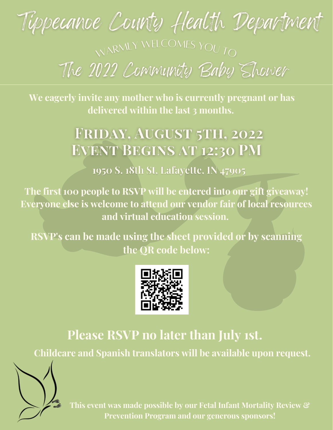

**We eagerly invite any mother who is currently pregnant or has delivered within the last 3 months.**

## FRIDAY, AUGUST 5TH, 2022 **EVENT BEGINS AT 12:30 PM**

1950 S. 18th St, Lafayette, IN 47905

**The first 100 people to RSVP will be entered into our gift giveaway! Everyone else is welcome to attend our vendor fair of local resources and virtual education session.**

**RSVP's can be made using the sheet provided or by scanning the QR code below:**



## **Please RSVP no later than July 1st.**

**Childcare and Spanish translators will be available upon request.**



**This event was made possible by our Fetal Infant Mortality Review & Prevention Program and our generous sponsors!**